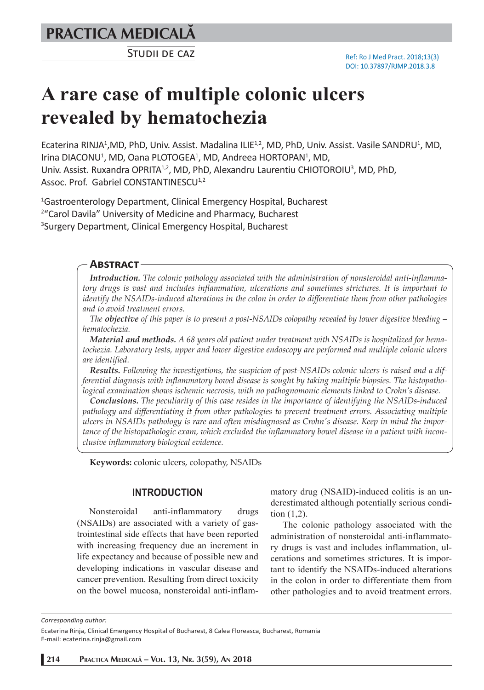**PRACTICA MEDICALÅ**

STUDII DE CAZ

# **A rare case of multiple colonic ulcers revealed by hematochezia**

Ecaterina RINJA<sup>1</sup>,MD, PhD, Univ. Assist. Madalina ILIE<sup>1,2</sup>, MD, PhD, Univ. Assist. Vasile SANDRU<sup>1</sup>, MD, Irina DIACONU<sup>1</sup>, MD, Oana PLOTOGEA<sup>1</sup>, MD, Andreea HORTOPAN<sup>1</sup>, MD, Univ. Assist. Ruxandra OPRITA<sup>1,2</sup>, MD, PhD, Alexandru Laurentiu CHIOTOROIU<sup>3</sup>, MD, PhD, Assoc. Prof. Gabriel CONSTANTINESCU<sup>1,2</sup>

1 Gastroenterology Department, Clinical Emergency Hospital, Bucharest <sup>2</sup> "Carol Davila" University of Medicine and Pharmacy, Bucharest 3 Surgery Department, Clinical Emergency Hospital, Bucharest

## **ABSTRACT**

*Introduction. The colonic pathology associated with the administration of nonsteroidal anti-inflammatory drugs is vast and includes inflammation, ulcerations and sometimes strictures. It is important to identify the NSAIDs-induced alterations in the colon in order to differentiate them from other pathologies and to avoid treatment errors.* 

*The objective of this paper is to present a post-NSAIDs colopathy revealed by lower digestive bleeding – hematochezia.*

*Material and methods. A 68 years old patient under treatment with NSAIDs is hospitalized for hematochezia. Laboratory tests, upper and lower digestive endoscopy are performed and multiple colonic ulcers are identified.*

*Results. Following the investigations, the suspicion of post-NSAIDs colonic ulcers is raised and a differential diagnosis with inflammatory bowel disease is sought by taking multiple biopsies. The histopathological examination shows ischemic necrosis, with no pathognomonic elements linked to Crohn's disease.* 

*Conclusions. The peculiarity of this case resides in the importance of identifying the NSAIDs-induced pathology and differentiating it from other pathologies to prevent treatment errors. Associating multiple ulcers in NSAIDs pathology is rare and often misdiagnosed as Crohn's disease. Keep in mind the importance of the histopathologic exam, which excluded the inflammatory bowel disease in a patient with inconclusive inflammatory biological evidence.*

**Keywords:** colonic ulcers, colopathy, NSAIDs

## **INTRODUCTION**

Nonsteroidal anti-inflammatory drugs (NSAIDs) are associated with a variety of gastrointestinal side effects that have been reported with increasing frequency due an increment in life expectancy and because of possible new and developing indications in vascular disease and cancer prevention. Resulting from direct toxicity on the bowel mucosa, nonsteroidal anti-inflammatory drug (NSAID)-induced colitis is an underestimated although potentially serious condition (1,2).

The colonic pathology associated with the administration of nonsteroidal anti-inflammatory drugs is vast and includes inflammation, ulcerations and sometimes strictures. It is important to identify the NSAIDs-induced alterations in the colon in order to differentiate them from other pathologies and to avoid treatment errors.

*Corresponding author:* 

Ecaterina Rinja, Clinical Emergency Hospital of Bucharest, 8 Calea Floreasca, Bucharest, Romania E-mail: ecaterina.rinja@gmail.com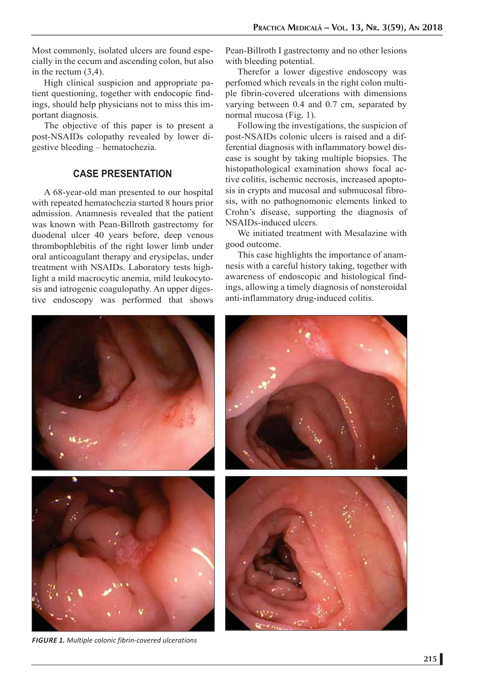Most commonly, isolated ulcers are found especially in the cecum and ascending colon, but also in the rectum (3,4).

High clinical suspicion and appropriate patient questioning, together with endocopic findings, should help physicians not to miss this important diagnosis.

The objective of this paper is to present a post-NSAIDs colopathy revealed by lower digestive bleeding – hematochezia.

## **CASE PRESENTATION**

A 68-year-old man presented to our hospital with repeated hematochezia started 8 hours prior admission. Anamnesis revealed that the patient was known with Pean-Billroth gastrectomy for duodenal ulcer 40 years before, deep venous thrombophlebitis of the right lower limb under oral anticoagulant therapy and erysipelas, under treatment with NSAIDs. Laboratory tests highlight a mild macrocytic anemia, mild leukocytosis and iatrogenic coagulopathy. An upper digestive endoscopy was performed that shows Pean-Billroth I gastrectomy and no other lesions with bleeding potential.

Therefor a lower digestive endoscopy was perfomed which reveals in the right colon multiple fibrin-covered ulcerations with dimensions varying between 0.4 and 0.7 cm, separated by normal mucosa (Fig. 1).

Following the investigations, the suspicion of post-NSAIDs colonic ulcers is raised and a differential diagnosis with inflammatory bowel disease is sought by taking multiple biopsies. The histopathological examination shows focal active colitis, ischemic necrosis, increased apoptosis in crypts and mucosal and submucosal fibrosis, with no pathognomonic elements linked to Crohn's disease, supporting the diagnosis of NSAIDs-induced ulcers.

We initiated treatment with Mesalazine with good outcome.

This case highlights the importance of anamnesis with a careful history taking, together with awareness of endoscopic and histological findings, allowing a timely diagnosis of nonsteroidal anti-inflammatory drug-induced colitis.



*FIGURE 1. Multiple colonic fibrin-covered ulcerations*